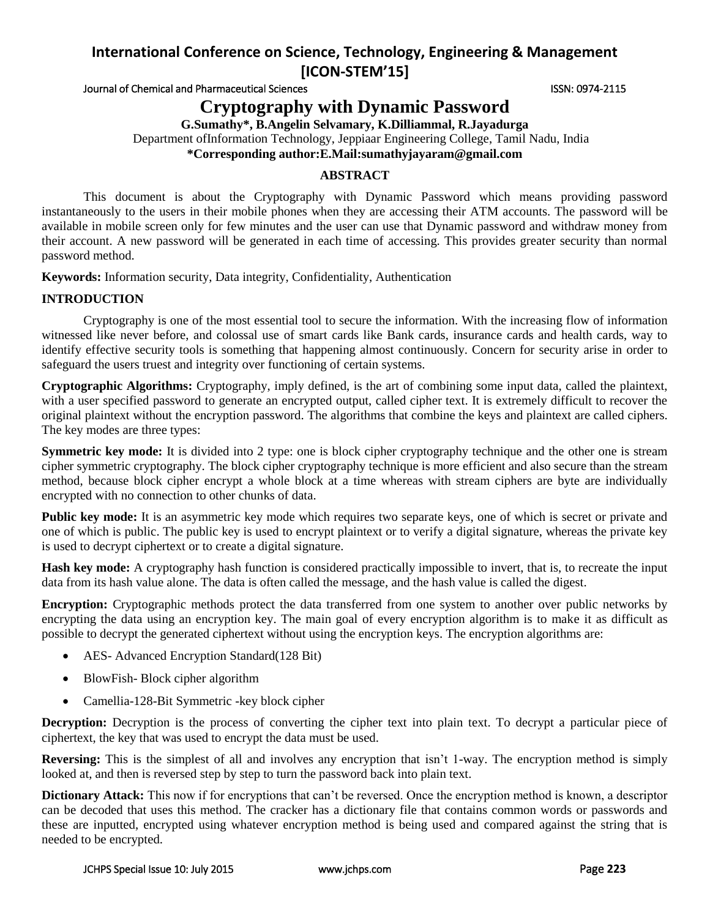# **International Conference on Science, Technology, Engineering & Management [ICON-STEM'15]**

Journal of Chemical and Pharmaceutical Sciences **ISSN: 0974-2115** ISSN: 0974-2115

**Cryptography with Dynamic Password**

**G.Sumathy\*, B.Angelin Selvamary, K.Dilliammal, R.Jayadurga**

Department ofInformation Technology, Jeppiaar Engineering College, Tamil Nadu, India

**\*Corresponding author:E.Mail:sumathyjayaram@gmail.com**

## **ABSTRACT**

This document is about the Cryptography with Dynamic Password which means providing password instantaneously to the users in their mobile phones when they are accessing their ATM accounts. The password will be available in mobile screen only for few minutes and the user can use that Dynamic password and withdraw money from their account. A new password will be generated in each time of accessing. This provides greater security than normal password method.

**Keywords:** Information security, Data integrity, Confidentiality, Authentication

### **INTRODUCTION**

Cryptography is one of the most essential tool to secure the information. With the increasing flow of information witnessed like never before, and colossal use of smart cards like Bank cards, insurance cards and health cards, way to identify effective security tools is something that happening almost continuously. Concern for security arise in order to safeguard the users truest and integrity over functioning of certain systems.

**Cryptographic Algorithms:** Cryptography, imply defined, is the art of combining some input data, called the plaintext, with a user specified password to generate an encrypted output, called cipher text. It is extremely difficult to recover the original plaintext without the encryption password. The algorithms that combine the keys and plaintext are called ciphers. The key modes are three types:

**Symmetric key mode:** It is divided into 2 type: one is block cipher cryptography technique and the other one is stream cipher symmetric cryptography. The block cipher cryptography technique is more efficient and also secure than the stream method, because block cipher encrypt a whole block at a time whereas with stream ciphers are byte are individually encrypted with no connection to other chunks of data.

**Public key mode:** It is an asymmetric key mode which requires two separate keys, one of which is secret or private and one of which is public. The public key is used to encrypt plaintext or to verify a digital signature, whereas the private key is used to decrypt ciphertext or to create a digital signature.

**Hash key mode:** A cryptography hash function is considered practically impossible to invert, that is, to recreate the input data from its hash value alone. The data is often called the message, and the hash value is called the digest.

**Encryption:** Cryptographic methods protect the data transferred from one system to another over public networks by encrypting the data using an encryption key. The main goal of every encryption algorithm is to make it as difficult as possible to decrypt the generated ciphertext without using the encryption keys. The encryption algorithms are:

- AES- Advanced Encryption Standard(128 Bit)
- BlowFish-Block cipher algorithm
- Camellia-128-Bit Symmetric -key block cipher

**Decryption:** Decryption is the process of converting the cipher text into plain text. To decrypt a particular piece of ciphertext, the key that was used to encrypt the data must be used.

**Reversing:** This is the simplest of all and involves any encryption that isn't 1-way. The encryption method is simply looked at, and then is reversed step by step to turn the password back into plain text.

**Dictionary Attack:** This now if for encryptions that can't be reversed. Once the encryption method is known, a descriptor can be decoded that uses this method. The cracker has a dictionary file that contains common words or passwords and these are inputted, encrypted using whatever encryption method is being used and compared against the string that is needed to be encrypted.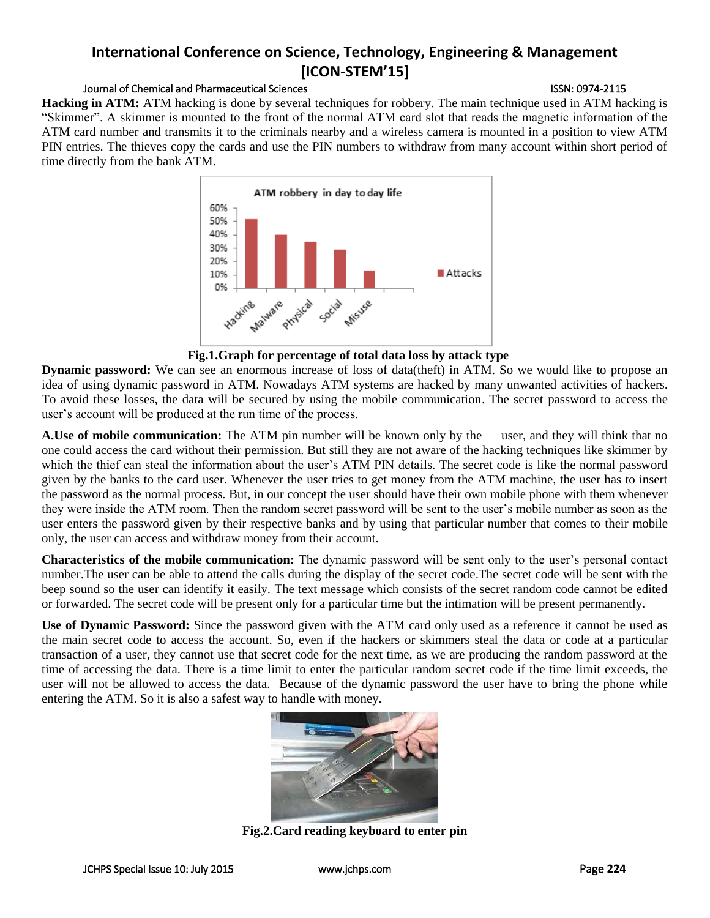## **International Conference on Science, Technology, Engineering & Management [ICON-STEM'15]**

### Journal of Chemical and Pharmaceutical Sciences ISSN: 0974-2115

**Hacking in ATM:** ATM hacking is done by several techniques for robbery. The main technique used in ATM hacking is "Skimmer". A skimmer is mounted to the front of the normal ATM card slot that reads the magnetic information of the ATM card number and transmits it to the criminals nearby and a wireless camera is mounted in a position to view ATM PIN entries. The thieves copy the cards and use the PIN numbers to withdraw from many account within short period of time directly from the bank ATM.



**Fig.1.Graph for percentage of total data loss by attack type**

**Dynamic password:** We can see an enormous increase of loss of data(theft) in ATM. So we would like to propose an idea of using dynamic password in ATM. Nowadays ATM systems are hacked by many unwanted activities of hackers. To avoid these losses, the data will be secured by using the mobile communication. The secret password to access the user's account will be produced at the run time of the process.

**A.Use of mobile communication:** The ATM pin number will be known only by the user, and they will think that no one could access the card without their permission. But still they are not aware of the hacking techniques like skimmer by which the thief can steal the information about the user's ATM PIN details. The secret code is like the normal password given by the banks to the card user. Whenever the user tries to get money from the ATM machine, the user has to insert the password as the normal process. But, in our concept the user should have their own mobile phone with them whenever they were inside the ATM room. Then the random secret password will be sent to the user's mobile number as soon as the user enters the password given by their respective banks and by using that particular number that comes to their mobile only, the user can access and withdraw money from their account.

**Characteristics of the mobile communication:** The dynamic password will be sent only to the user's personal contact number.The user can be able to attend the calls during the display of the secret code.The secret code will be sent with the beep sound so the user can identify it easily. The text message which consists of the secret random code cannot be edited or forwarded. The secret code will be present only for a particular time but the intimation will be present permanently.

**Use of Dynamic Password:** Since the password given with the ATM card only used as a reference it cannot be used as the main secret code to access the account. So, even if the hackers or skimmers steal the data or code at a particular transaction of a user, they cannot use that secret code for the next time, as we are producing the random password at the time of accessing the data. There is a time limit to enter the particular random secret code if the time limit exceeds, the user will not be allowed to access the data. Because of the dynamic password the user have to bring the phone while entering the ATM. So it is also a safest way to handle with money.



**Fig.2.Card reading keyboard to enter pin**